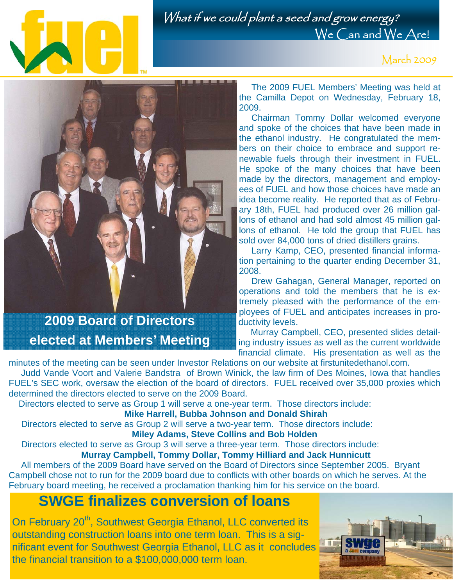

What if we could plant a seed and grow energy? We Can and We Are!

March 2009



## **2009 Board of Directors elected at Members' Meeting**

 The 2009 FUEL Members' Meeting was held at the Camilla Depot on Wednesday, February 18, 2009.

 Chairman Tommy Dollar welcomed everyone and spoke of the choices that have been made in the ethanol industry. He congratulated the members on their choice to embrace and support renewable fuels through their investment in FUEL. He spoke of the many choices that have been made by the directors, management and employees of FUEL and how those choices have made an idea become reality. He reported that as of February 18th, FUEL had produced over 26 million gallons of ethanol and had sold almost 45 million gallons of ethanol. He told the group that FUEL has sold over 84,000 tons of dried distillers grains.

 Larry Kamp, CEO, presented financial information pertaining to the quarter ending December 31, 2008.

 Drew Gahagan, General Manager, reported on operations and told the members that he is extremely pleased with the performance of the employees of FUEL and anticipates increases in productivity levels.

 Murray Campbell, CEO, presented slides detailing industry issues as well as the current worldwide financial climate. His presentation as well as the

minutes of the meeting can be seen under Investor Relations on our website at firstunitedethanol.com. Judd Vande Voort and Valerie Bandstra of Brown Winick, the law firm of Des Moines, Iowa that handles FUEL's SEC work, oversaw the election of the board of directors. FUEL received over 35,000 proxies which determined the directors elected to serve on the 2009 Board.

Directors elected to serve as Group 1 will serve a one-year term. Those directors include:

**Mike Harrell, Bubba Johnson and Donald Shirah**

 Directors elected to serve as Group 2 will serve a two-year term. Those directors include: **Miley Adams, Steve Collins and Bob Holden**

 Directors elected to serve as Group 3 will serve a three-year term. Those directors include:  **Murray Campbell, Tommy Dollar, Tommy Hilliard and Jack Hunnicutt** 

 All members of the 2009 Board have served on the Board of Directors since September 2005. Bryant Campbell chose not to run for the 2009 board due to conflicts with other boards on which he serves. At the February board meeting, he received a proclamation thanking him for his service on the board.

## **SWGE finalizes conversion of loans**

On February 20<sup>th</sup>, Southwest Georgia Ethanol, LLC converted its outstanding construction loans into one term loan. This is a significant event for Southwest Georgia Ethanol, LLC as it concludes the financial transition to a \$100,000,000 term loan.